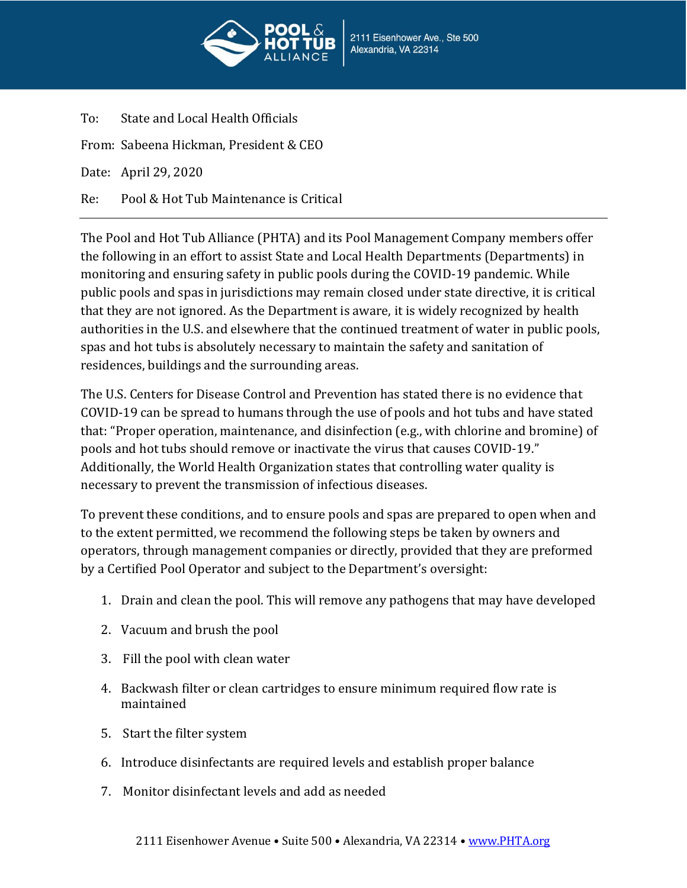

To: State and Local Health Officials From: Sabeena Hickman, President & CEO Date: April 29, 2020 Re: Pool & Hot Tub Maintenance is Critical

The Pool and Hot Tub Alliance (PHTA) and its Pool Management Company members offer the following in an effort to assist State and Local Health Departments (Departments) in monitoring and ensuring safety in public pools during the COVID-19 pandemic. While public pools and spas in jurisdictions may remain closed under state directive, it is critical that they are not ignored. As the Department is aware, it is widely recognized by health authorities in the U.S. and elsewhere that the continued treatment of water in public pools, spas and hot tubs is absolutely necessary to maintain the safety and sanitation of residences, buildings and the surrounding areas.

The U.S. Centers for Disease Control and Prevention has stated there is no evidence that COVID-19 can be spread to humans through the use of pools and hot tubs and have stated that: "Proper operation, maintenance, and disinfection (e.g., with chlorine and bromine) of pools and hot tubs should remove or inactivate the virus that causes COVID-19." Additionally, the World Health Organization states that controlling water quality is necessary to prevent the transmission of infectious diseases.

To prevent these conditions, and to ensure pools and spas are prepared to open when and to the extent permitted, we recommend the following steps be taken by owners and operators, through management companies or directly, provided that they are preformed by a Certified Pool Operator and subject to the Department's oversight:

- 1. Drain and clean the pool. This will remove any pathogens that may have developed
- 2. Vacuum and brush the pool
- 3. Fill the pool with clean water
- 4. Backwash filter or clean cartridges to ensure minimum required flow rate is maintained
- 5. Start the filter system
- 6. Introduce disinfectants are required levels and establish proper balance
- 7. Monitor disinfectant levels and add as needed